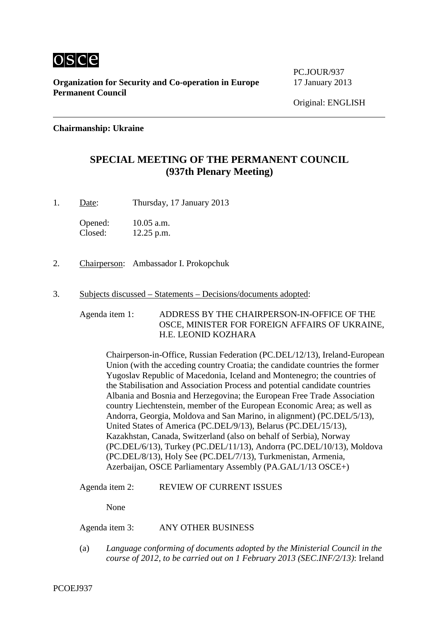

**Organization for Security and Co-operation in Europe** 17 January 2013 **Permanent Council**

PC.JOUR/937

## **Chairmanship: Ukraine**

## **SPECIAL MEETING OF THE PERMANENT COUNCIL (937th Plenary Meeting)**

1. Date: Thursday, 17 January 2013

Opened: 10.05 a.m. Closed: 12.25 p.m.

- 2. Chairperson: Ambassador I. Prokopchuk
- 3. Subjects discussed Statements Decisions/documents adopted:

Agenda item 1: ADDRESS BY THE CHAIRPERSON-IN-OFFICE OF THE OSCE, MINISTER FOR FOREIGN AFFAIRS OF UKRAINE, H.E. LEONID KOZHARA

Chairperson-in-Office, Russian Federation (PC.DEL/12/13), Ireland-European Union (with the acceding country Croatia; the candidate countries the former Yugoslav Republic of Macedonia, Iceland and Montenegro; the countries of the Stabilisation and Association Process and potential candidate countries Albania and Bosnia and Herzegovina; the European Free Trade Association country Liechtenstein, member of the European Economic Area; as well as Andorra, Georgia, Moldova and San Marino, in alignment) (PC.DEL/5/13), United States of America (PC.DEL/9/13), Belarus (PC.DEL/15/13), Kazakhstan, Canada, Switzerland (also on behalf of Serbia), Norway (PC.DEL/6/13), Turkey (PC.DEL/11/13), Andorra (PC.DEL/10/13), Moldova (PC.DEL/8/13), Holy See (PC.DEL/7/13), Turkmenistan, Armenia, Azerbaijan, OSCE Parliamentary Assembly (PA.GAL/1/13 OSCE+)

Agenda item 2: REVIEW OF CURRENT ISSUES

None

Agenda item 3: ANY OTHER BUSINESS

(a) *Language conforming of documents adopted by the Ministerial Council in the course of 2012, to be carried out on 1 February 2013 (SEC.INF/2/13)*: Ireland